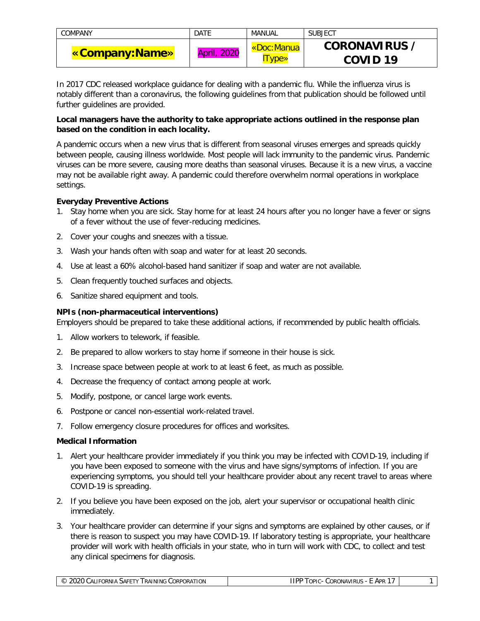| COMPANY        | DATE               | MANUAL        | <b>SUBJECT</b>      |
|----------------|--------------------|---------------|---------------------|
| «Company:Name» | <b>April, 2020</b> | «Doc:Manua    | <b>CORONAVIRUS</b>  |
|                |                    | <b>I</b> vpe» | COVID <sub>19</sub> |

In 2017 CDC released workplace guidance for dealing with a pandemic flu. While the influenza virus is notably different than a coronavirus, the following guidelines from that publication should be followed until further guidelines are provided.

## **Local managers have the authority to take appropriate actions outlined in the response plan based on the condition in each locality.**

A pandemic occurs when a new virus that is different from seasonal viruses emerges and spreads quickly between people, causing illness worldwide. Most people will lack immunity to the pandemic virus. Pandemic viruses can be more severe, causing more deaths than seasonal viruses. Because it is a new virus, a vaccine may not be available right away. A pandemic could therefore overwhelm normal operations in workplace settings.

## **Everyday Preventive Actions**

- 1. Stay home when you are sick. Stay home for at least 24 hours after you no longer have a fever or signs of a fever without the use of fever-reducing medicines.
- 2. Cover your coughs and sneezes with a tissue.
- 3. Wash your hands often with soap and water for at least 20 seconds.
- 4. Use at least a 60% alcohol-based hand sanitizer if soap and water are not available.
- 5. Clean frequently touched surfaces and objects.
- 6. Sanitize shared equipment and tools.

## **NPIs (non-pharmaceutical interventions)**

Employers should be prepared to take these additional actions, if recommended by public health officials.

- 1. Allow workers to telework, if feasible.
- 2. Be prepared to allow workers to stay home if someone in their house is sick.
- 3. Increase space between people at work to at least 6 feet, as much as possible.
- 4. Decrease the frequency of contact among people at work.
- 5. Modify, postpone, or cancel large work events.
- 6. Postpone or cancel non-essential work-related travel.
- 7. Follow emergency closure procedures for offices and worksites.

#### **Medical Information**

- 1. Alert your healthcare provider immediately if you think you may be infected with COVID-19, including if you have been exposed to someone with the virus and have signs/symptoms of infection. If you are experiencing symptoms, you should tell your healthcare provider about any recent travel to areas where COVID-19 is spreading.
- 2. If you believe you have been exposed on the job, alert your supervisor or occupational health clinic immediately.
- 3. Your healthcare provider can determine if your signs and symptoms are explained by other causes, or if there is reason to suspect you may have COVID-19. If laboratory testing is appropriate, your healthcare provider will work with health officials in your state, who in turn will work with CDC, to collect and test any clinical specimens for diagnosis.

| $\curvearrowright$<br>ın<br><br>ORNIA<br><b>ORATION</b><br><b>JNUNIC</b><br>CORP<br><b>SAFETY</b><br>$\mathbf{u}$<br>∣ RAIN<br>$\sim$<br>'IIV<br>ىر<br>________ | $\cdots$<br>،IPF<br>Apr<br>OPIC<br>110110<br>JOR(<br>"ONAVIRU<br>_____ |  |
|-----------------------------------------------------------------------------------------------------------------------------------------------------------------|------------------------------------------------------------------------|--|
|-----------------------------------------------------------------------------------------------------------------------------------------------------------------|------------------------------------------------------------------------|--|